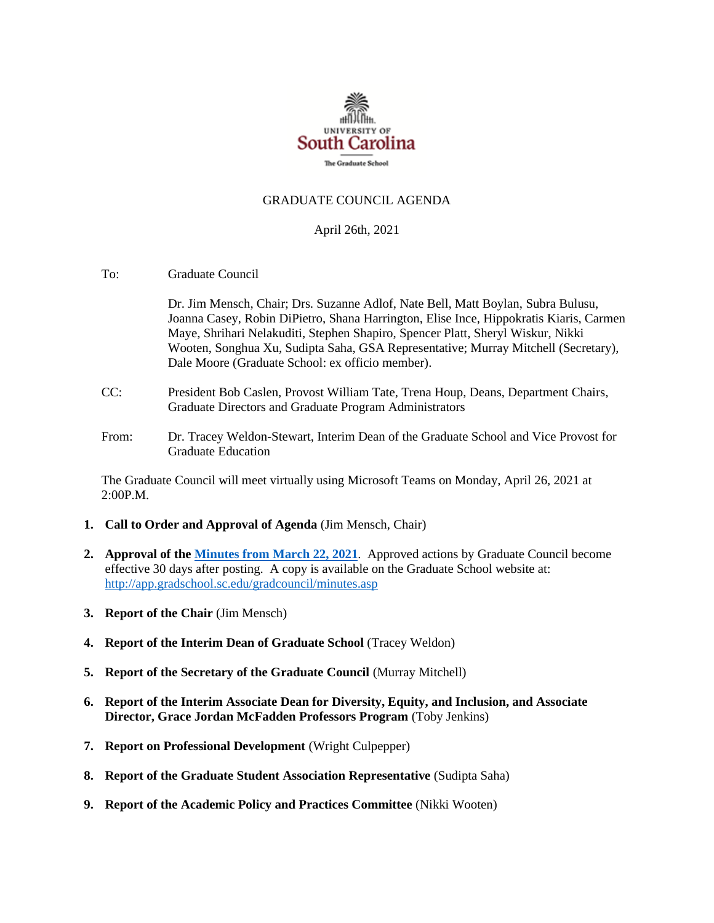

#### GRADUATE COUNCIL AGENDA

#### April 26th, 2021

To: Graduate Council

Dr. Jim Mensch, Chair; Drs. Suzanne Adlof, Nate Bell, Matt Boylan, Subra Bulusu, Joanna Casey, Robin DiPietro, Shana Harrington, Elise Ince, Hippokratis Kiaris, Carmen Maye, Shrihari Nelakuditi, Stephen Shapiro, Spencer Platt, Sheryl Wiskur, Nikki Wooten, Songhua Xu, Sudipta Saha, GSA Representative; Murray Mitchell (Secretary), Dale Moore (Graduate School: ex officio member).

- CC: President Bob Caslen, Provost William Tate, Trena Houp, Deans, Department Chairs, Graduate Directors and Graduate Program Administrators
- From: Dr. Tracey Weldon-Stewart, Interim Dean of the Graduate School and Vice Provost for Graduate Education

The Graduate Council will meet virtually using Microsoft Teams on Monday, April 26, 2021 at 2:00P.M.

- **1. Call to Order and Approval of Agenda** (Jim Mensch, Chair)
- **2. Approval of th[e Minutes from March](GC%20MIin%203.22.21%20MFM.pdf) 22, 2021**. Approved actions by Graduate Council become effective 30 days after posting. A copy is available on the Graduate School website at: <http://app.gradschool.sc.edu/gradcouncil/minutes.asp>
- **3. Report of the Chair** (Jim Mensch)
- **4. Report of the Interim Dean of Graduate School** (Tracey Weldon)
- **5. Report of the Secretary of the Graduate Council** (Murray Mitchell)
- **6. Report of the Interim Associate Dean for Diversity, Equity, and Inclusion, and Associate Director, Grace Jordan McFadden Professors Program** (Toby Jenkins)
- **7. Report on Professional Development** (Wright Culpepper)
- **8. Report of the Graduate Student Association Representative** (Sudipta Saha)
- **9. Report of the Academic Policy and Practices Committee** (Nikki Wooten)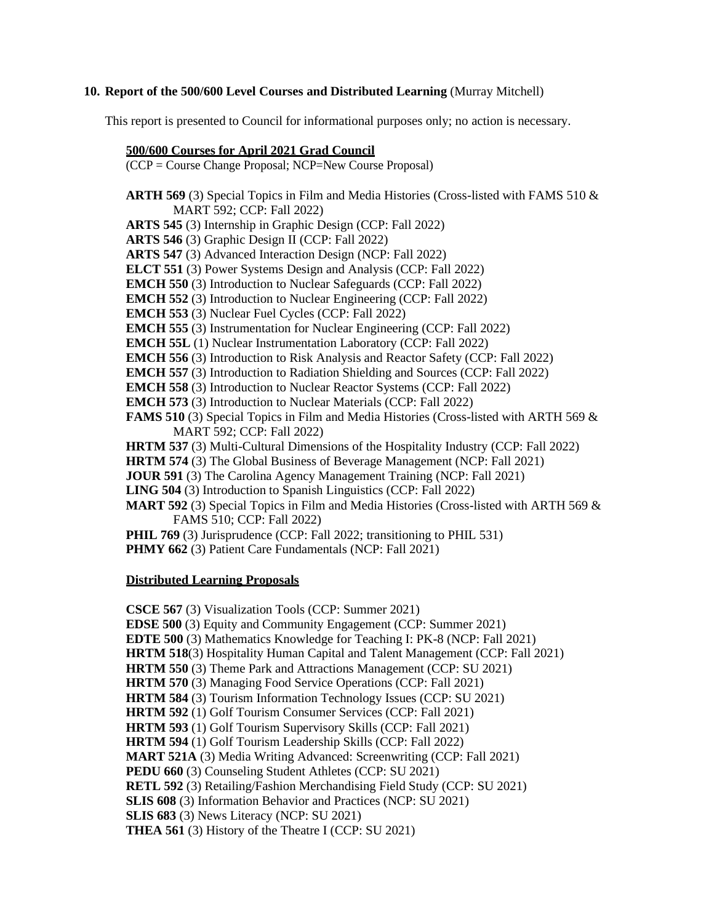#### **10. Report of the 500/600 Level Courses and Distributed Learning** (Murray Mitchell)

This report is presented to Council for informational purposes only; no action is necessary.

#### **500/600 Courses for April 2021 Grad Council**

(CCP = Course Change Proposal; NCP=New Course Proposal)

**ARTH 569** (3) Special Topics in Film and Media Histories (Cross-listed with FAMS 510 & MART 592; CCP: Fall 2022) **ARTS 545** (3) Internship in Graphic Design (CCP: Fall 2022) **ARTS 546** (3) Graphic Design II (CCP: Fall 2022) **ARTS 547** (3) Advanced Interaction Design (NCP: Fall 2022) **ELCT 551** (3) Power Systems Design and Analysis (CCP: Fall 2022) **EMCH 550** (3) Introduction to Nuclear Safeguards (CCP: Fall 2022) **EMCH 552** (3) Introduction to Nuclear Engineering (CCP: Fall 2022) **EMCH 553** (3) Nuclear Fuel Cycles (CCP: Fall 2022) **EMCH 555** (3) Instrumentation for Nuclear Engineering (CCP: Fall 2022) **EMCH 55L** (1) Nuclear Instrumentation Laboratory (CCP: Fall 2022) **EMCH 556** (3) Introduction to Risk Analysis and Reactor Safety (CCP: Fall 2022) **EMCH 557** (3) Introduction to Radiation Shielding and Sources (CCP: Fall 2022) **EMCH 558** (3) Introduction to Nuclear Reactor Systems (CCP: Fall 2022) **EMCH 573** (3) Introduction to Nuclear Materials (CCP: Fall 2022) **FAMS 510** (3) Special Topics in Film and Media Histories (Cross-listed with ARTH 569 & MART 592; CCP: Fall 2022) **HRTM 537** (3) Multi-Cultural Dimensions of the Hospitality Industry (CCP: Fall 2022) **HRTM 574** (3) The Global Business of Beverage Management (NCP: Fall 2021) **JOUR 591** (3) The Carolina Agency Management Training (NCP: Fall 2021) **LING 504** (3) Introduction to Spanish Linguistics (CCP: Fall 2022) **MART 592** (3) Special Topics in Film and Media Histories (Cross-listed with ARTH 569 & FAMS 510; CCP: Fall 2022) **PHIL 769** (3) Jurisprudence (CCP: Fall 2022; transitioning to PHIL 531) **PHMY 662** (3) Patient Care Fundamentals (NCP: Fall 2021)

#### **Distributed Learning Proposals**

**CSCE 567** (3) Visualization Tools (CCP: Summer 2021) **EDSE 500** (3) Equity and Community Engagement (CCP: Summer 2021) **EDTE 500** (3) Mathematics Knowledge for Teaching I: PK-8 (NCP: Fall 2021) **HRTM 518**(3) Hospitality Human Capital and Talent Management (CCP: Fall 2021) **HRTM 550** (3) Theme Park and Attractions Management (CCP: SU 2021) **HRTM 570** (3) Managing Food Service Operations (CCP: Fall 2021) **HRTM 584** (3) Tourism Information Technology Issues (CCP: SU 2021) **HRTM 592** (1) Golf Tourism Consumer Services (CCP: Fall 2021) **HRTM 593** (1) Golf Tourism Supervisory Skills (CCP: Fall 2021) **HRTM 594** (1) Golf Tourism Leadership Skills (CCP: Fall 2022) **MART 521A** (3) Media Writing Advanced: Screenwriting (CCP: Fall 2021) **PEDU 660** (3) Counseling Student Athletes (CCP: SU 2021) **RETL 592** (3) Retailing/Fashion Merchandising Field Study (CCP: SU 2021) **SLIS 608** (3) Information Behavior and Practices (NCP: SU 2021) **SLIS 683** (3) News Literacy (NCP: SU 2021) **THEA 561** (3) History of the Theatre I (CCP: SU 2021)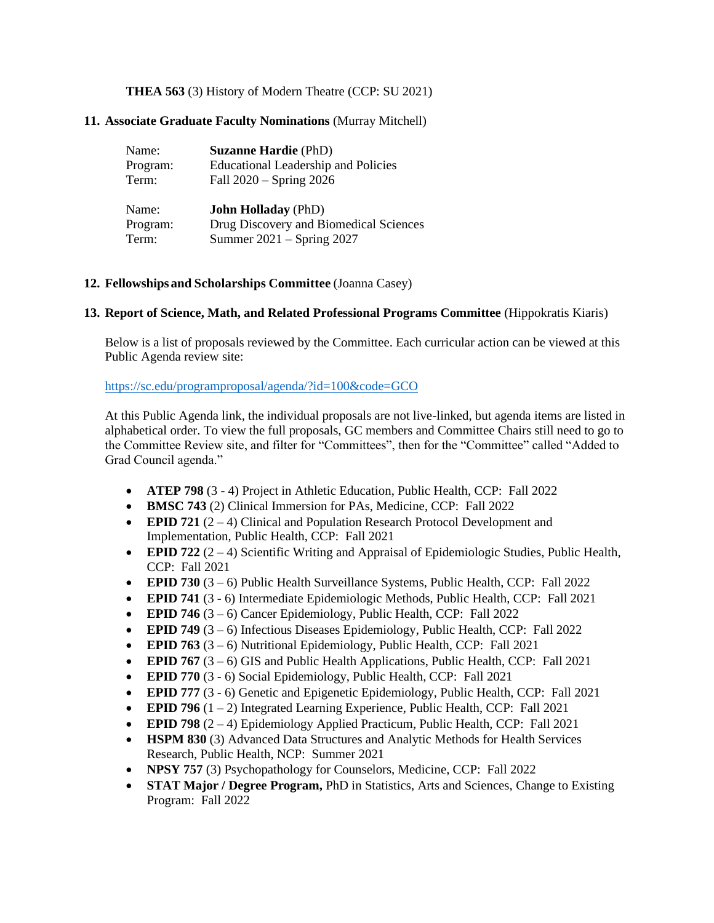# **THEA 563** (3) History of Modern Theatre (CCP: SU 2021)

# **11. Associate Graduate Faculty Nominations** (Murray Mitchell)

| Name:    | <b>Suzanne Hardie (PhD)</b>                |
|----------|--------------------------------------------|
| Program: | <b>Educational Leadership and Policies</b> |
| Term:    | Fall 2020 – Spring 2026                    |
|          |                                            |
| Name:    | <b>John Holladay</b> (PhD)                 |
| Program: | Drug Discovery and Biomedical Sciences     |
| Term:    | Summer $2021 -$ Spring $2027$              |

# **12. Fellowships and Scholarships Committee** (Joanna Casey)

# **13. Report of Science, Math, and Related Professional Programs Committee** (Hippokratis Kiaris)

Below is a list of proposals reviewed by the Committee. Each curricular action can be viewed at this Public Agenda review site:

# <https://sc.edu/programproposal/agenda/?id=100&code=GCO>

At this Public Agenda link, the individual proposals are not live-linked, but agenda items are listed in alphabetical order. To view the full proposals, GC members and Committee Chairs still need to go to the Committee Review site, and filter for "Committees", then for the "Committee" called "Added to Grad Council agenda."

- **ATEP 798** (3 4) Project in Athletic Education, Public Health, CCP: Fall 2022
- **BMSC 743** (2) Clinical Immersion for PAs, Medicine, CCP: Fall 2022
- **EPID 721** (2 4) Clinical and Population Research Protocol Development and Implementation, Public Health, CCP: Fall 2021
- **EPID 722** (2 4) Scientific Writing and Appraisal of Epidemiologic Studies, Public Health, CCP: Fall 2021
- **EPID 730** (3 6) Public Health Surveillance Systems, Public Health, CCP: Fall 2022
- **EPID 741** (3 6) Intermediate Epidemiologic Methods, Public Health, CCP: Fall 2021
- **EPID 746** (3 6) Cancer Epidemiology, Public Health, CCP: Fall 2022
- **EPID 749** (3 6) Infectious Diseases Epidemiology, Public Health, CCP: Fall 2022
- **EPID 763** (3 6) Nutritional Epidemiology, Public Health, CCP: Fall 2021
- **EPID 767** (3 6) GIS and Public Health Applications, Public Health, CCP: Fall 2021
- **EPID 770** (3 6) Social Epidemiology, Public Health, CCP: Fall 2021
- **EPID 777** (3 6) Genetic and Epigenetic Epidemiology, Public Health, CCP: Fall 2021
- **EPID 796** (1 2) Integrated Learning Experience, Public Health, CCP: Fall 2021
- **EPID 798** (2 4) Epidemiology Applied Practicum, Public Health, CCP: Fall 2021
- **HSPM 830** (3) Advanced Data Structures and Analytic Methods for Health Services Research, Public Health, NCP: Summer 2021
- **NPSY 757** (3) Psychopathology for Counselors, Medicine, CCP: Fall 2022
- **STAT Major / Degree Program,** PhD in Statistics, Arts and Sciences, Change to Existing Program: Fall 2022